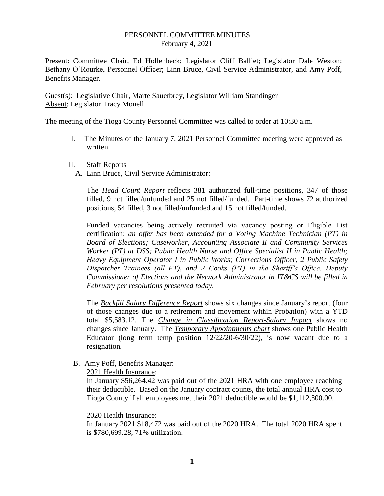## PERSONNEL COMMITTEE MINUTES February 4, 2021

Present: Committee Chair, Ed Hollenbeck; Legislator Cliff Balliet; Legislator Dale Weston; Bethany O'Rourke, Personnel Officer; Linn Bruce, Civil Service Administrator, and Amy Poff, Benefits Manager.

Guest(s): Legislative Chair, Marte Sauerbrey, Legislator William Standinger Absent: Legislator Tracy Monell

The meeting of the Tioga County Personnel Committee was called to order at 10:30 a.m.

- I. The Minutes of the January 7, 2021 Personnel Committee meeting were approved as written.
- II. Staff Reports
	- A. Linn Bruce, Civil Service Administrator:

The *Head Count Report* reflects 381 authorized full-time positions, 347 of those filled, 9 not filled/unfunded and 25 not filled/funded. Part-time shows 72 authorized positions, 54 filled, 3 not filled/unfunded and 15 not filled/funded.

Funded vacancies being actively recruited via vacancy posting or Eligible List certification: *an offer has been extended for a Voting Machine Technician (PT) in Board of Elections; Caseworker, Accounting Associate II and Community Services Worker (PT) at DSS; Public Health Nurse and Office Specialist II in Public Health; Heavy Equipment Operator I in Public Works; Corrections Officer, 2 Public Safety Dispatcher Trainees (all FT), and 2 Cooks (PT) in the Sheriff's Office. Deputy Commissioner of Elections and the Network Administrator in IT&CS will be filled in February per resolutions presented today.* 

The *Backfill Salary Difference Report* shows six changes since January's report (four of those changes due to a retirement and movement within Probation) with a YTD total \$5,583.12. The *Change in Classification Report-Salary Impact* shows no changes since January. The *Temporary Appointments chart* shows one Public Health Educator (long term temp position  $12/22/20-6/30/22$ ), is now vacant due to a resignation.

B. Amy Poff, Benefits Manager:

2021 Health Insurance:

In January \$56,264.42 was paid out of the 2021 HRA with one employee reaching their deductible. Based on the January contract counts, the total annual HRA cost to Tioga County if all employees met their 2021 deductible would be \$1,112,800.00.

## 2020 Health Insurance:

In January 2021 \$18,472 was paid out of the 2020 HRA. The total 2020 HRA spent is \$780,699.28, 71% utilization.